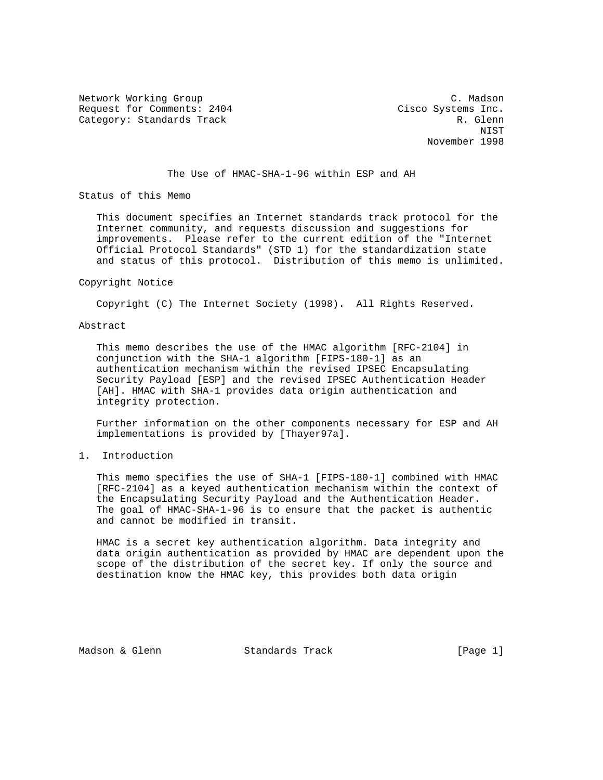Network Working Group C. Madson Request for Comments: 2404 Cisco Systems Inc. Category: Standards Track R. Glenn

 NIST November 1998

## The Use of HMAC-SHA-1-96 within ESP and AH

Status of this Memo

 This document specifies an Internet standards track protocol for the Internet community, and requests discussion and suggestions for improvements. Please refer to the current edition of the "Internet Official Protocol Standards" (STD 1) for the standardization state and status of this protocol. Distribution of this memo is unlimited.

#### Copyright Notice

Copyright (C) The Internet Society (1998). All Rights Reserved.

## Abstract

 This memo describes the use of the HMAC algorithm [RFC-2104] in conjunction with the SHA-1 algorithm [FIPS-180-1] as an authentication mechanism within the revised IPSEC Encapsulating Security Payload [ESP] and the revised IPSEC Authentication Header [AH]. HMAC with SHA-1 provides data origin authentication and integrity protection.

 Further information on the other components necessary for ESP and AH implementations is provided by [Thayer97a].

## 1. Introduction

 This memo specifies the use of SHA-1 [FIPS-180-1] combined with HMAC [RFC-2104] as a keyed authentication mechanism within the context of the Encapsulating Security Payload and the Authentication Header. The goal of HMAC-SHA-1-96 is to ensure that the packet is authentic and cannot be modified in transit.

 HMAC is a secret key authentication algorithm. Data integrity and data origin authentication as provided by HMAC are dependent upon the scope of the distribution of the secret key. If only the source and destination know the HMAC key, this provides both data origin

Madson & Glenn Standards Track [Page 1]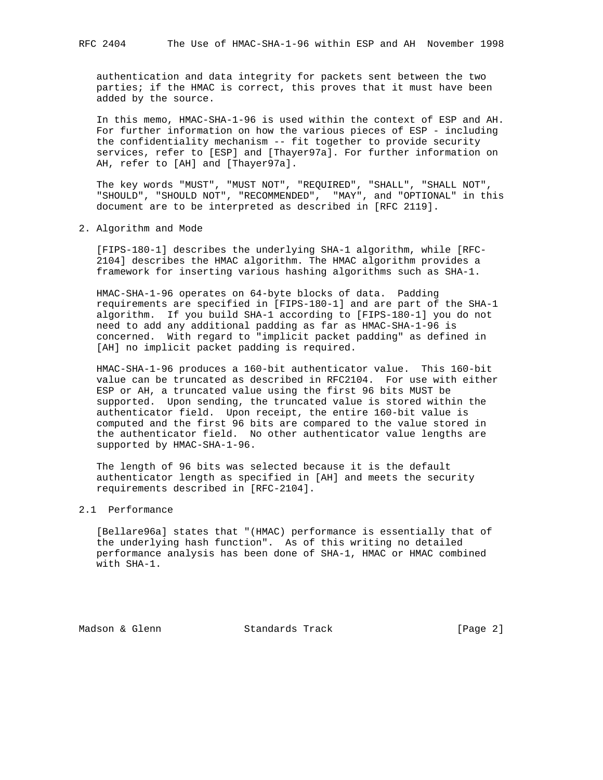authentication and data integrity for packets sent between the two parties; if the HMAC is correct, this proves that it must have been added by the source.

 In this memo, HMAC-SHA-1-96 is used within the context of ESP and AH. For further information on how the various pieces of ESP - including the confidentiality mechanism -- fit together to provide security services, refer to [ESP] and [Thayer97a]. For further information on AH, refer to [AH] and [Thayer97a].

 The key words "MUST", "MUST NOT", "REQUIRED", "SHALL", "SHALL NOT", "SHOULD", "SHOULD NOT", "RECOMMENDED", "MAY", and "OPTIONAL" in this document are to be interpreted as described in [RFC 2119].

#### 2. Algorithm and Mode

 [FIPS-180-1] describes the underlying SHA-1 algorithm, while [RFC- 2104] describes the HMAC algorithm. The HMAC algorithm provides a framework for inserting various hashing algorithms such as SHA-1.

 HMAC-SHA-1-96 operates on 64-byte blocks of data. Padding requirements are specified in [FIPS-180-1] and are part of the SHA-1 algorithm. If you build SHA-1 according to [FIPS-180-1] you do not need to add any additional padding as far as HMAC-SHA-1-96 is concerned. With regard to "implicit packet padding" as defined in [AH] no implicit packet padding is required.

 HMAC-SHA-1-96 produces a 160-bit authenticator value. This 160-bit value can be truncated as described in RFC2104. For use with either ESP or AH, a truncated value using the first 96 bits MUST be supported. Upon sending, the truncated value is stored within the authenticator field. Upon receipt, the entire 160-bit value is computed and the first 96 bits are compared to the value stored in the authenticator field. No other authenticator value lengths are supported by HMAC-SHA-1-96.

 The length of 96 bits was selected because it is the default authenticator length as specified in [AH] and meets the security requirements described in [RFC-2104].

## 2.1 Performance

 [Bellare96a] states that "(HMAC) performance is essentially that of the underlying hash function". As of this writing no detailed performance analysis has been done of SHA-1, HMAC or HMAC combined with SHA-1.

Madson & Glenn Standards Track [Page 2]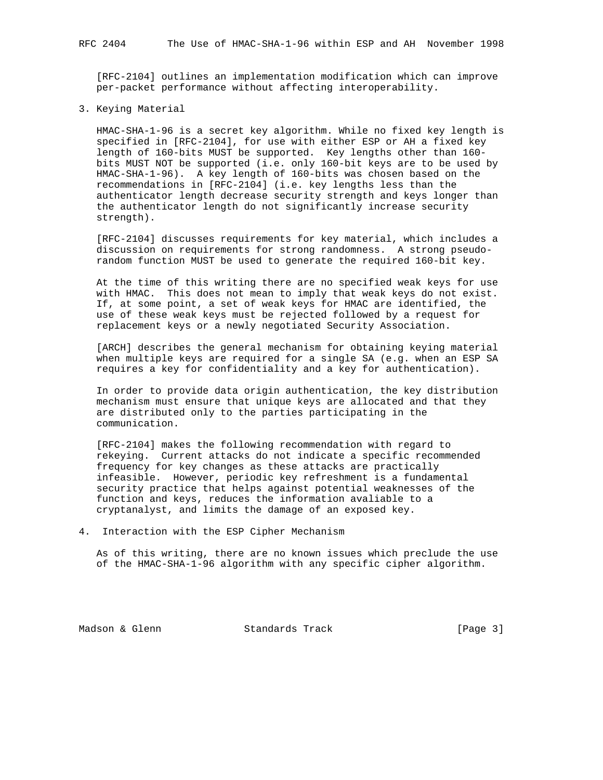[RFC-2104] outlines an implementation modification which can improve per-packet performance without affecting interoperability.

## 3. Keying Material

 HMAC-SHA-1-96 is a secret key algorithm. While no fixed key length is specified in [RFC-2104], for use with either ESP or AH a fixed key length of 160-bits MUST be supported. Key lengths other than 160 bits MUST NOT be supported (i.e. only 160-bit keys are to be used by HMAC-SHA-1-96). A key length of 160-bits was chosen based on the recommendations in [RFC-2104] (i.e. key lengths less than the authenticator length decrease security strength and keys longer than the authenticator length do not significantly increase security strength).

 [RFC-2104] discusses requirements for key material, which includes a discussion on requirements for strong randomness. A strong pseudo random function MUST be used to generate the required 160-bit key.

 At the time of this writing there are no specified weak keys for use with HMAC. This does not mean to imply that weak keys do not exist. If, at some point, a set of weak keys for HMAC are identified, the use of these weak keys must be rejected followed by a request for replacement keys or a newly negotiated Security Association.

 [ARCH] describes the general mechanism for obtaining keying material when multiple keys are required for a single SA (e.g. when an ESP SA requires a key for confidentiality and a key for authentication).

 In order to provide data origin authentication, the key distribution mechanism must ensure that unique keys are allocated and that they are distributed only to the parties participating in the communication.

 [RFC-2104] makes the following recommendation with regard to rekeying. Current attacks do not indicate a specific recommended frequency for key changes as these attacks are practically infeasible. However, periodic key refreshment is a fundamental security practice that helps against potential weaknesses of the function and keys, reduces the information avaliable to a cryptanalyst, and limits the damage of an exposed key.

4. Interaction with the ESP Cipher Mechanism

 As of this writing, there are no known issues which preclude the use of the HMAC-SHA-1-96 algorithm with any specific cipher algorithm.

Madson & Glenn Standards Track [Page 3]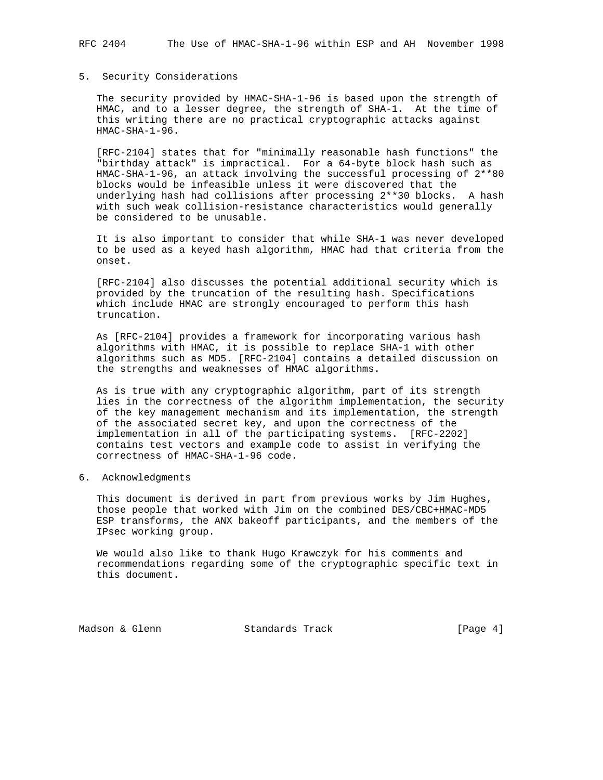### 5. Security Considerations

 The security provided by HMAC-SHA-1-96 is based upon the strength of HMAC, and to a lesser degree, the strength of SHA-1. At the time of this writing there are no practical cryptographic attacks against  $HMAC-SHA-1-96$ .

 [RFC-2104] states that for "minimally reasonable hash functions" the "birthday attack" is impractical. For a 64-byte block hash such as HMAC-SHA-1-96, an attack involving the successful processing of 2\*\*80 blocks would be infeasible unless it were discovered that the underlying hash had collisions after processing 2\*\*30 blocks. A hash with such weak collision-resistance characteristics would generally be considered to be unusable.

 It is also important to consider that while SHA-1 was never developed to be used as a keyed hash algorithm, HMAC had that criteria from the onset.

 [RFC-2104] also discusses the potential additional security which is provided by the truncation of the resulting hash. Specifications which include HMAC are strongly encouraged to perform this hash truncation.

 As [RFC-2104] provides a framework for incorporating various hash algorithms with HMAC, it is possible to replace SHA-1 with other algorithms such as MD5. [RFC-2104] contains a detailed discussion on the strengths and weaknesses of HMAC algorithms.

 As is true with any cryptographic algorithm, part of its strength lies in the correctness of the algorithm implementation, the security of the key management mechanism and its implementation, the strength of the associated secret key, and upon the correctness of the implementation in all of the participating systems. [RFC-2202] contains test vectors and example code to assist in verifying the correctness of HMAC-SHA-1-96 code.

6. Acknowledgments

 This document is derived in part from previous works by Jim Hughes, those people that worked with Jim on the combined DES/CBC+HMAC-MD5 ESP transforms, the ANX bakeoff participants, and the members of the IPsec working group.

 We would also like to thank Hugo Krawczyk for his comments and recommendations regarding some of the cryptographic specific text in this document.

Madson & Glenn Standards Track [Page 4]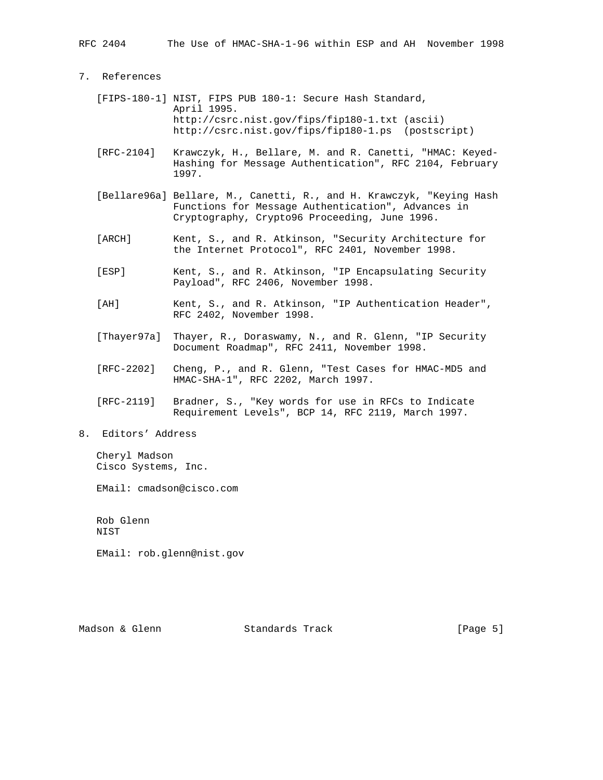# 7. References

- [FIPS-180-1] NIST, FIPS PUB 180-1: Secure Hash Standard, April 1995. http://csrc.nist.gov/fips/fip180-1.txt (ascii) http://csrc.nist.gov/fips/fip180-1.ps (postscript)
- [RFC-2104] Krawczyk, H., Bellare, M. and R. Canetti, "HMAC: Keyed- Hashing for Message Authentication", RFC 2104, February 1997.
- [Bellare96a] Bellare, M., Canetti, R., and H. Krawczyk, "Keying Hash Functions for Message Authentication", Advances in Cryptography, Crypto96 Proceeding, June 1996.
- [ARCH] Kent, S., and R. Atkinson, "Security Architecture for the Internet Protocol", RFC 2401, November 1998.
- [ESP] Kent, S., and R. Atkinson, "IP Encapsulating Security Payload", RFC 2406, November 1998.
- [AH] Kent, S., and R. Atkinson, "IP Authentication Header", RFC 2402, November 1998.
- [Thayer97a] Thayer, R., Doraswamy, N., and R. Glenn, "IP Security Document Roadmap", RFC 2411, November 1998.
- [RFC-2202] Cheng, P., and R. Glenn, "Test Cases for HMAC-MD5 and HMAC-SHA-1", RFC 2202, March 1997.
- [RFC-2119] Bradner, S., "Key words for use in RFCs to Indicate Requirement Levels", BCP 14, RFC 2119, March 1997.
- 8. Editors' Address

 Cheryl Madson Cisco Systems, Inc.

EMail: cmadson@cisco.com

 Rob Glenn NIST

EMail: rob.glenn@nist.gov

Madson & Glenn Standards Track [Page 5]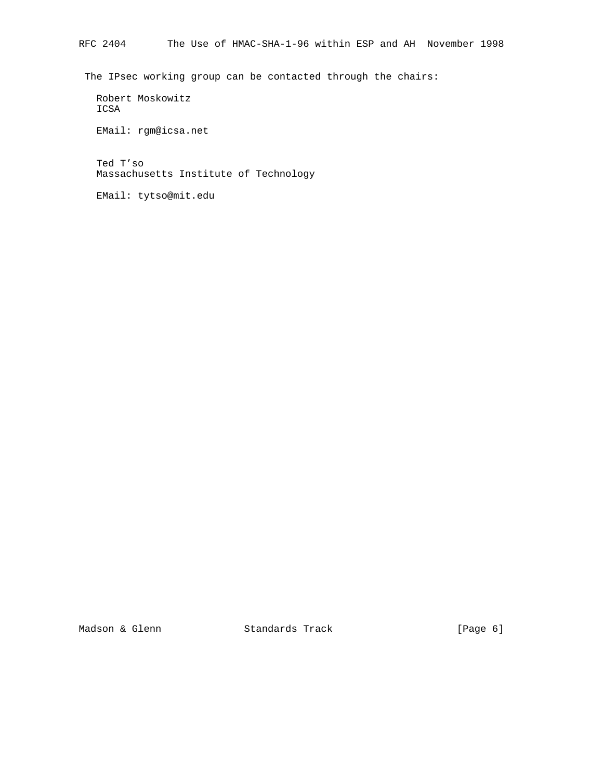The IPsec working group can be contacted through the chairs:

 Robert Moskowitz ICSA

EMail: rgm@icsa.net

 Ted T'so Massachusetts Institute of Technology

EMail: tytso@mit.edu

Madson & Glenn Standards Track [Page 6]